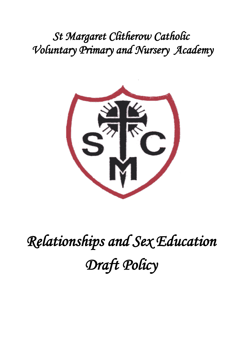*St Margaret Clitherow Catholic Voluntary Primary and Nursery Academy*



*Relationships and Sex Education Draft Policy*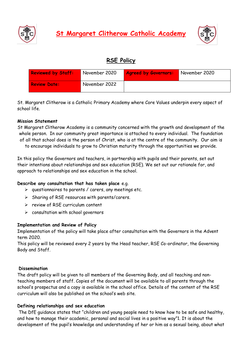![](_page_1_Picture_0.jpeg)

**St Margaret Clitherow Catholic Academy**

![](_page_1_Picture_2.jpeg)

# **RSE Policy**

| <b>Reviewed by Staff:</b> | November 2020 | <b>Agreed by Governors:</b> | November 2020 |
|---------------------------|---------------|-----------------------------|---------------|
| <b>Review Date:</b>       | November 2022 |                             |               |

St. Margaret Clitherow is a Catholic Primary Academy where Core Values underpin every aspect of school life.

### **Mission Statement**

St Margaret Clitherow Academy is a community concerned with the growth and development of the whole person. In our community great importance is attached to every individual. The foundation of all that school does is the person of Christ, who is at the centre of the community. Our aim is to encourage individuals to grow to Christian maturity through the opportunities we provide.

In this policy the Governors and teachers, in partnership with pupils and their parents, set out their intentions about relationships and sex education (RSE). We set out our rationale for, and approach to relationships and sex education in the school.

#### **Describe any consultation that has taken place** e.g.

- $\triangleright$  questionnaires to parents / carers, any meetings etc.
- ➢ Sharing of RSE resources with parents/carers.
- ➢ review of RSE curriculum content
- $\triangleright$  consultation with school governors

#### **Implementation and Review of Policy**

Implementation of the policy will take place after consultation with the Governors in the Advent term 2020.

This policy will be reviewed every 2 years by the Head teacher, RSE Co-ordinator, the Governing Body and Staff.

#### **Dissemination**

The draft policy will be given to all members of the Governing Body, and all teaching and nonteaching members of staff. Copies of the document will be available to all parents through the school's prospectus and a copy is available in the school office. Details of the content of the RSE curriculum will also be published on the school's web site.

#### **Defining relationships and sex education**

The DfE guidance states that "children and young people need to know how to be safe and healthy, and how to manage their academic, personal and social lives in a positive way"1. It is about the development of the pupil's knowledge and understanding of her or him as a sexual being, about what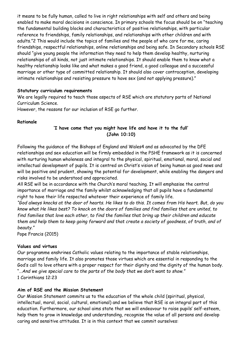it means to be fully human, called to live in right relationships with self and others and being enabled to make moral decisions in conscience. In primary schools the focus should be on "teaching the fundamental building blocks and characteristics of positive relationships, with particular reference to friendships, family relationships, and relationships with other children and with adults."2 This would include the topics of families and the people of who care for me, caring friendships, respectful relationships, online relationships and being safe. In Secondary schools RSE should "give young people the information they need to help them develop healthy, nurturing relationships of all kinds, not just intimate relationships. It should enable them to know what a healthy relationship looks like and what makes a good friend, a good colleague and a successful marriage or other type of committed relationship. It should also cover contraception, developing intimate relationships and resisting pressure to have sex (and not applying pressure)."

### **Statutory curriculum requirements**

We are legally required to teach those aspects of RSE which are statutory parts of National Curriculum Science.

However, the reasons for our inclusion of RSE go further.

### **Rationale**

## **'I have come that you might have life and have it to the full' (John 10:10)**

Following the guidance of the Bishops of England and Wales4 and as advocated by the DFE relationships and sex education will be firmly embedded in the PSHE framework as it is concerned with nurturing human wholeness and integral to the physical, spiritual, emotional, moral, social and intellectual development of pupils. It is centred on Christ's vision of being human as good news and will be positive and prudent, showing the potential for development, while enabling the dangers and risks involved to be understood and appreciated.

All RSE will be in accordance with the Church's moral teaching. It will emphasise the central importance of marriage and the family whilst acknowledging that all pupils have a fundamental right to have their life respected whatever their experience of family life.

*"God always knocks at the door of hearts. He likes to do this. It comes from His heart. But, do you know what He likes best? To knock on the doors of families and find families that are united, to find families that love each other, to find the families that bring up their children and educate them and help them to keep going forward and that create a society of goodness, of truth, and of beauty."* 

Pope Francis (2015)

#### **Values and virtues**

Our programme enshrines Catholic values relating to the importance of stable relationships, marriage and family life. It also promotes those virtues which are essential in responding to the God's call to love others with a proper respect for their dignity and the dignity of the human body. "…*And we give special care to the parts of the body that we don't want to show."*  1 Corinthians 12:23

## **Aim of RSE and the Mission Statement**

Our Mission Statement commits us to the education of the whole child (spiritual, physical, intellectual, moral, social, cultural, emotional) and we believe that RSE is an integral part of this education. Furthermore, our school aims state that we will endeavour to raise pupils' self-esteem, help them to grow in knowledge and understanding, recognise the value of all persons and develop caring and sensitive attitudes. It is in this context that we commit ourselves: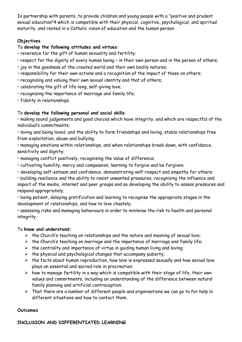In partnership with parents, to provide children and young people with a "positive and prudent sexual education"4 which is compatible with their physical, cognitive, psychological, and spiritual maturity, and rooted in a Catholic vision of education and the human person.

## **Objectives**

## To **develop the following attitudes and virtues**:

- reverence for the gift of human sexuality and fertility;
- respect for the dignity of every human being in their own person and in the person of others;
- joy in the goodness of the created world and their own bodily natures;
- responsibility for their own actions and a recognition of the impact of these on others;
- recognising and valuing their own sexual identity and that of others;
- celebrating the gift of life-long, self-giving love;
- recognising the importance of marriage and family life;
- fidelity in relationships.

## To **develop the following personal and social skills**:

• making sound judgements and good choices which have integrity, and which are respectful of the individual's commitments;

• loving and being loved, and the ability to form friendships and loving, stable relationships free from exploitation, abuse and bullying;

• managing emotions within relationships, and when relationships break down, with confidence, sensitivity and dignity;

- managing conflict positively, recognising the value of difference;
- cultivating humility, mercy and compassion, learning to forgive and be forgiven;
- developing self-esteem and confidence, demonstrating self-respect and empathy for others;

• building resilience and the ability to resist unwanted pressures, recognising the influence and impact of the media, internet and peer groups and so developing the ability to assess pressures and respond appropriately;

• being patient, delaying gratification and learning to recognise the appropriate stages in the development of relationships, and how to love chastely;

• assessing risks and managing behaviours in order to minimise the risk to health and personal integrity.

## To **know and understand:**

- $\triangleright$  the Church's teaching on relationships and the nature and meaning of sexual love;
- $\triangleright$  the Church's teaching on marriage and the importance of marriage and family life;
- $\triangleright$  the centrality and importance of virtue in guiding human living and loving;
- $\triangleright$  the physical and psychological changes that accompany puberty;
- ➢ the facts about human reproduction, how love is expressed sexually and how sexual love plays an essential and sacred role in procreation;
- $\triangleright$  how to manage fertility in a way which is compatible with their stage of life, their own values and commitments, including an understanding of the difference between natural family planning and artificial contraception;
- $\triangleright$  That there are a number of different people and organisations we can go to for help in different situations and how to contact them.

## **Outcomes**

## **INCLUSION AND DIFFERENTIATED LEARNING**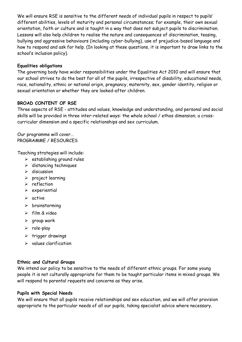We will ensure RSE is sensitive to the different needs of individual pupils in respect to pupils' different abilities, levels of maturity and personal circumstances; for example, their own sexual orientation, faith or culture and is taught in a way that does not subject pupils to discrimination. Lessons will also help children to realise the nature and consequences of discrimination, teasing, bullying and aggressive behaviours (including cyber-bullying), use of prejudice-based language and how to respond and ask for help. (In looking at these questions, it is important to draw links to the school's inclusion policy).

### **Equalities obligations**

The governing body have wider responsibilities under the Equalities Act 2010 and will ensure that our school strives to do the best for all of the pupils, irrespective of disability, educational needs, race, nationality, ethnic or national origin, pregnancy, maternity, sex, gender identity, religion or sexual orientation or whether they are looked-after children.

## **BROAD CONTENT OF RSE**

Three aspects of RSE - attitudes and values, knowledge and understanding, and personal and social skills will be provided in three inter-related ways: the whole school / ethos dimension; a crosscurricular dimension and a specific relationships and sex curriculum.

Our programme will cover… PROGRAMME / RESOURCES

Teaching strategies will include:

- $\triangleright$  establishing ground rules
- ➢ distancing techniques
- ➢ discussion
- ➢ project learning
- ➢ reflection
- ➢ experiential
- ➢ active
- ➢ brainstorming
- ➢ film & video
- $\rho$  group work
- ➢ role-play
- ➢ trigger drawings
- ➢ values clarification

#### **Ethnic and Cultural Groups**

We intend our policy to be sensitive to the needs of different ethnic groups. For some young people it is not culturally appropriate for them to be taught particular items in mixed groups. We will respond to parental requests and concerns as they arise.

#### **Pupils with Special Needs**

We will ensure that all pupils receive relationships and sex education, and we will offer provision appropriate to the particular needs of all our pupils, taking specialist advice where necessary.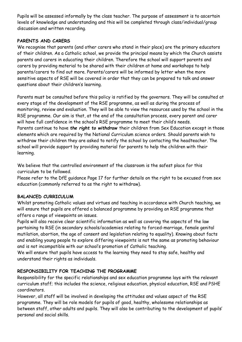Pupils will be assessed informally by the class teacher. The purpose of assessment is to ascertain levels of knowledge and understanding and this will be completed through class/individual/group discussion and written recording.

## **PARENTS AND CARERS**

We recognise that parents (and other carers who stand in their place) are the primary educators of their children. As a Catholic school, we provide the principal means by which the Church assists parents and carers in educating their children. Therefore the school will support parents and carers by providing material to be shared with their children at home and workshops to help parents/carers to find out more. Parents/carers will be informed by letter when the more sensitive aspects of RSE will be covered in order that they can be prepared to talk and answer questions about their children's learning.

Parents must be consulted before this policy is ratified by the governors. They will be consulted at every stage of the development of the RSE programme, as well as during the process of monitoring, review and evaluation. They will be able to view the resources used by the school in the RSE programme. Our aim is that, at the end of the consultation process, every parent and carer will have full confidence in the school's RSE programme to meet their child's needs. Parents continue to have *the right to withdraw* their children from Sex Education except in those elements which are required by the National Curriculum science orders. Should parents wish to withdraw their children they are asked to notify the school by contacting the headteacher. The school will provide support by providing material for parents to help the children with their learning.

We believe that the controlled environment of the classroom is the safest place for this curriculum to be followed.

Please refer to the DfE guidance Page 17 for further details on the right to be excused from sex education (commonly referred to as the right to withdraw).

## **BALANCED CURRICULUM**

Whilst promoting Catholic values and virtues and teaching in accordance with Church teaching, we will ensure that pupils are offered a balanced programme by providing an RSE programme that offers a range of viewpoints on issues.

Pupils will also receive clear scientific information as well as covering the aspects of the law pertaining to RSE (in secondary schools/academies relating to forced-marriage, female genital mutilation, abortion, the age of consent and legislation relating to equality). Knowing about facts and enabling young people to explore differing viewpoints is not the same as promoting behaviour and is not incompatible with our school's promotion of Catholic teaching.

We will ensure that pupils have access to the learning they need to stay safe, healthy and understand their rights as individuals.

## **RESPONSIBILITY FOR TEACHING THE PROGRAMME**

Responsibility for the specific relationships and sex education programme lays with the relevant curriculum staff; this includes the science, religious education, physical education, RSE and PSHE coordinators.

However, all staff will be involved in developing the attitudes and values aspect of the RSE programme. They will be role models for pupils of good, healthy, wholesome relationships as between staff, other adults and pupils. They will also be contributing to the development of pupils' personal and social skills.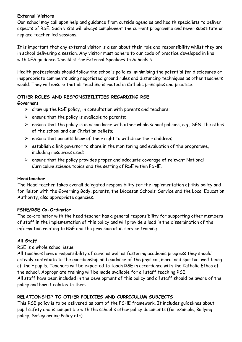### **External Visitors**

Our school may call upon help and guidance from outside agencies and health specialists to deliver aspects of RSE. Such visits will always complement the current programme and never substitute or replace teacher led sessions.

It is important that any external visitor is clear about their role and responsibility whilst they are in school delivering a session. Any visitor must adhere to our code of practice developed in line with CES guidance 'Checklist for External Speakers to Schools 5.

Health professionals should follow the school's policies, minimising the potential for disclosures or inappropriate comments using negotiated ground rules and distancing techniques as other teachers would. They will ensure that all teaching is rooted in Catholic principles and practice.

## **OTHER ROLES AND RESPONSIBILITIES REGARDING RSE**

### **Governors**

- $\triangleright$  draw up the RSE policy, in consultation with parents and teachers;
- $\triangleright$  ensure that the policy is available to parents;
- $\triangleright$  ensure that the policy is in accordance with other whole school policies, e.g., SEN, the ethos of the school and our Christian beliefs;
- $\triangleright$  ensure that parents know of their right to withdraw their children;
- $\triangleright$  establish a link governor to share in the monitoring and evaluation of the programme, including resources used;
- ➢ ensure that the policy provides proper and adequate coverage of relevant National Curriculum science topics and the setting of RSE within PSHE.

## **Headteacher**

The Head teacher takes overall delegated responsibility for the implementation of this policy and for liaison with the Governing Body, parents, the Diocesan Schools' Service and the Local Education Authority, also appropriate agencies.

## **PSHE/RSE Co-Ordinator**

The co-ordinator with the head teacher has a general responsibility for supporting other members of staff in the implementation of this policy and will provide a lead in the dissemination of the information relating to RSE and the provision of in-service training.

## **All Staff**

RSE is a whole school issue.

All teachers have a responsibility of care; as well as fostering academic progress they should actively contribute to the guardianship and guidance of the physical, moral and spiritual well-being of their pupils. Teachers will be expected to teach RSE in accordance with the Catholic Ethos of the school. Appropriate training will be made available for all staff teaching RSE.

All staff have been included in the development of this policy and all staff should be aware of the policy and how it relates to them.

## **RELATIONSHIP TO OTHER POLICIES AND CURRICULUM SUBJECTS**

This RSE policy is to be delivered as part of the PSHE framework. It includes guidelines about pupil safety and is compatible with the school's other policy documents (for example, Bullying policy, Safeguarding Policy etc)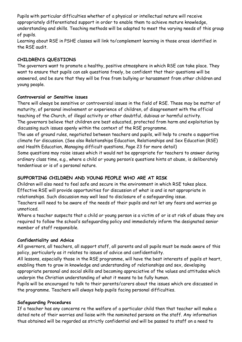Pupils with particular difficulties whether of a physical or intellectual nature will receive appropriately differentiated support in order to enable them to achieve mature knowledge, understanding and skills. Teaching methods will be adapted to meet the varying needs of this group of pupils.

Learning about RSE in PSHE classes will link to/complement learning in those areas identified in the RSE audit.

## **CHILDREN'S QUESTIONS**

The governors want to promote a healthy, positive atmosphere in which RSE can take place. They want to ensure that pupils can ask questions freely, be confident that their questions will be answered, and be sure that they will be free from bullying or harassment from other children and young people.

## **Controversial or Sensitive issues**

There will always be sensitive or controversial issues in the field of RSE. These may be matter of maturity, of personal involvement or experience of children, of disagreement with the official teaching of the Church, of illegal activity or other doubtful, dubious or harmful activity. The governors believe that children are best educated, protected from harm and exploitation by discussing such issues openly within the context of the RSE programme.

The use of ground rules, negotiated between teachers and pupils, will help to create a supportive climate for discussion. (See also Relationships Education, Relationships and Sex Education (RSE) and Health Education, Managing difficult questions, Page 23 for more detail)

Some questions may raise issues which it would not be appropriate for teachers to answer during ordinary class time, e.g., where a child or young person's questions hints at abuse, is deliberately tendentious or is of a personal nature.

## **SUPPORTING CHILDREN AND YOUNG PEOPLE WHO ARE AT RISK**

Children will also need to feel safe and secure in the environment in which RSE takes place. Effective RSE will provide opportunities for discussion of what is and is not appropriate in relationships. Such discussion may well lead to disclosure of a safeguarding issue.

Teachers will need to be aware of the needs of their pupils and not let any fears and worries go unnoticed.

Where a teacher suspects that a child or young person is a victim of or is at risk of abuse they are required to follow the school's safeguarding policy and immediately inform the designated senior member of staff responsible.

## **Confidentiality and Advice**

All governors, all teachers, all support staff, all parents and all pupils must be made aware of this policy, particularly as it relates to issues of advice and confidentiality.

All lessons, especially those in the RSE programme, will have the best interests of pupils at heart, enabling them to grow in knowledge and understanding of relationships and sex, developing appropriate personal and social skills and becoming appreciative of the values and attitudes which underpin the Christian understanding of what it means to be fully human.

Pupils will be encouraged to talk to their parents/carers about the issues which are discussed in the programme. Teachers will always help pupils facing personal difficulties.

## **Safeguarding Procedures**

If a teacher has any concerns re the welfare of a particular child then that teacher will make a dated note of their worries and liaise with the nominated persons on the staff. Any information thus obtained will be regarded as strictly confidential and will be passed to staff on a need to